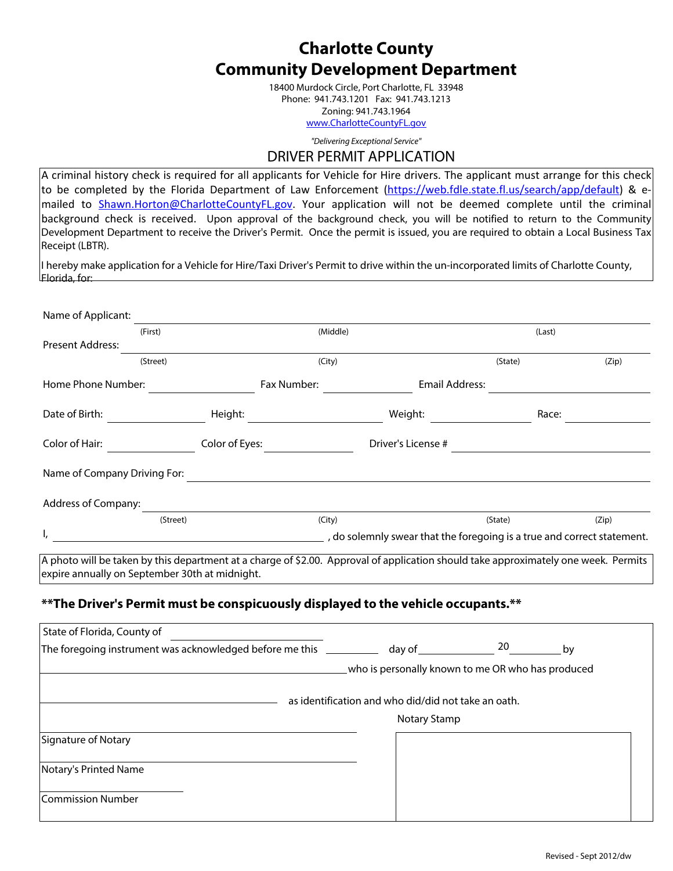### **Charlotte County Community Development Department**

18400 Murdock Circle, Port Charlotte, FL 33948 Phone: 941.743.1201 Fax: 941.743.1213 Zoning: 941.743.1964 [www.CharlotteCountyFL.gov](www.charlottecountyfl.gov)

*"Delivering Exceptional Service"*

### DRIVER PERMIT APPLICATION

A criminal history check is required for all applicants for Vehicle for Hire drivers. The applicant must arrange for this check to be completed by the Florida Department of Law Enforcement ([https://web.fdle.state.fl.us/search/app/default\)](https://web.fdle.state.fl.us/search/app/default) & e-mailed to [Shawn.Horton@CharlotteCountyFL.gov](mailto:Shawn.Horton@charlottecountyfl.gov). Your application will not be deemed complete until the criminal background check is received. Upon approval of the background check, you will be notified to return to the Community Development Department to receive the Driver's Permit. Once the permit is issued, you are required to obtain a Local Business Tax Receipt (LBTR).

I hereby make application for a Vehicle for Hire/Taxi Driver's Permit to drive within the un-incorporated limits of Charlotte County, Florida, for:

| Name of Applicant:           |                     |             |                                                                         |         |       |
|------------------------------|---------------------|-------------|-------------------------------------------------------------------------|---------|-------|
|                              | (Middle)<br>(First) |             |                                                                         | (Last)  |       |
| Present Address:             |                     |             |                                                                         |         |       |
|                              | (Street)            | (City)      |                                                                         | (State) | (Zip) |
| Home Phone Number:           |                     | Fax Number: | Email Address:                                                          |         |       |
| Date of Birth:               | Height:             |             | Weight:                                                                 | Race:   |       |
| Color of Hair:               | Color of Eyes:      |             | Driver's License #                                                      |         |       |
| Name of Company Driving For: |                     |             |                                                                         |         |       |
| Address of Company:          |                     |             |                                                                         |         |       |
|                              | (Street)            | (City)      |                                                                         | (State) | (Zip) |
| ı,                           |                     |             | , do solemnly swear that the foregoing is a true and correct statement. |         |       |

A photo will be taken by this department at a charge of \$2.00. Approval of application should take approximately one week. Permits expire annually on September 30th at midnight.

### **\*\*The Driver's Permit must be conspicuously displayed to the vehicle occupants.\*\***

| State of Florida, County of                                    |                                                     |              |  |  |
|----------------------------------------------------------------|-----------------------------------------------------|--------------|--|--|
| The foregoing instrument was acknowledged before me this _____ | day of $\overline{\phantom{a}}$                     | 20<br>by     |  |  |
|                                                                | who is personally known to me OR who has produced   |              |  |  |
|                                                                | as identification and who did/did not take an oath. |              |  |  |
|                                                                |                                                     | Notary Stamp |  |  |
| Signature of Notary                                            |                                                     |              |  |  |
| Notary's Printed Name                                          |                                                     |              |  |  |
| Commission Number                                              |                                                     |              |  |  |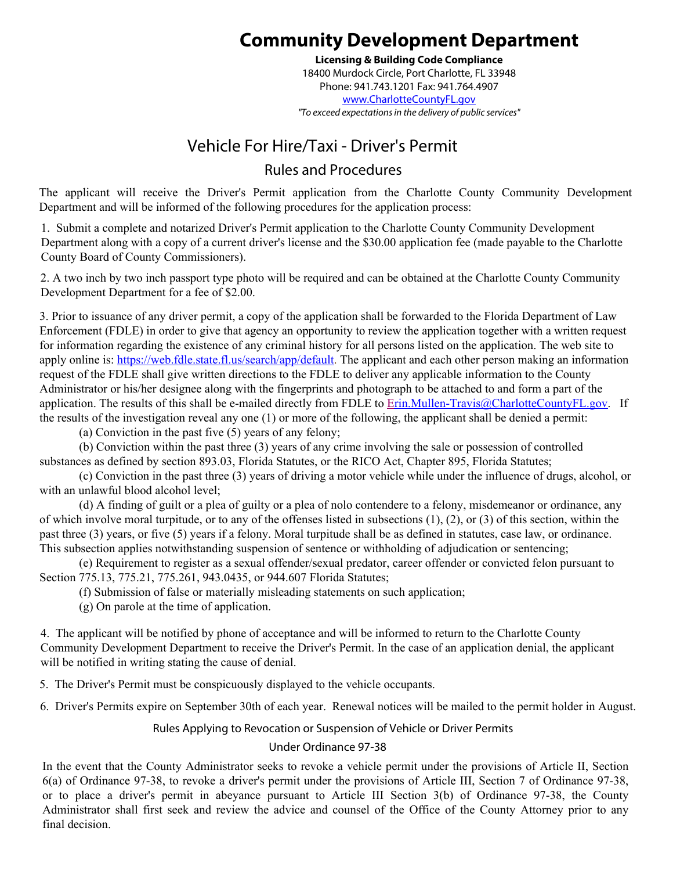# **Community Development Department**

**Licensing & Building Code Compliance**  18400 Murdock Circle, Port Charlotte, FL 33948 Phone: 941.743.1201 Fax: 941.764.4907 www.CharlotteCountyFL.gov *"To exceed expectations in the delivery of public services"*

## Vehicle For Hire/Taxi - Driver's Permit

### Rules and Procedures

The applicant will receive the Driver's Permit application from the Charlotte County Community Development Department and will be informed of the following procedures for the application process:

1. Submit a complete and notarized Driver's Permit application to the Charlotte County Community Development Department along with a copy of a current driver's license and the \$30.00 application fee (made payable to the Charlotte County Board of County Commissioners).

2. A two inch by two inch passport type photo will be required and can be obtained at the Charlotte County Community Development Department for a fee of \$2.00.

3. Prior to issuance of any driver permit, a copy of the application shall be forwarded to the Florida Department of Law Enforcement (FDLE) in order to give that agency an opportunity to review the application together with a written request for information regarding the existence of any criminal history for all persons listed on the application. The web site to apply online is: https://web.fdle.state.fl.us/search/app/default. The applicant and each other person making an information request of the FDLE shall give written directions to the FDLE to deliver any applicable information to the County Administrator or his/her designee along with the fingerprints and photograph to be attached to and form a part of the application. The results of this shall be e-mailed directly from FDLE to Erin.Mullen-Travis@CharlotteCountyFL.gov. If the results of the investigation reveal any one (1) or more of the following, the applicant shall be denied a permit:

(a) Conviction in the past five (5) years of any felony;

(b) Conviction within the past three (3) years of any crime involving the sale or possession of controlled substances as defined by section 893.03, Florida Statutes, or the RICO Act, Chapter 895, Florida Statutes;

(c) Conviction in the past three (3) years of driving a motor vehicle while under the influence of drugs, alcohol, or with an unlawful blood alcohol level;

(d) A finding of guilt or a plea of guilty or a plea of nolo contendere to a felony, misdemeanor or ordinance, any of which involve moral turpitude, or to any of the offenses listed in subsections  $(1)$ ,  $(2)$ , or  $(3)$  of this section, within the past three (3) years, or five (5) years if a felony. Moral turpitude shall be as defined in statutes, case law, or ordinance. This subsection applies notwithstanding suspension of sentence or withholding of adjudication or sentencing;

(e) Requirement to register as a sexual offender/sexual predator, career offender or convicted felon pursuant to Section 775.13, 775.21, 775.261, 943.0435, or 944.607 Florida Statutes;

(f) Submission of false or materially misleading statements on such application;

(g) On parole at the time of application.

4. The applicant will be notified by phone of acceptance and will be informed to return to the Charlotte County Community Development Department to receive the Driver's Permit. In the case of an application denial, the applicant will be notified in writing stating the cause of denial.

5. The Driver's Permit must be conspicuously displayed to the vehicle occupants.

6. Driver's Permits expire on September 30th of each year. Renewal notices will be mailed to the permit holder in August.

### Rules Applying to Revocation or Suspension of Vehicle or Driver Permits

### Under Ordinance 97-38

In the event that the County Administrator seeks to revoke a vehicle permit under the provisions of Article II, Section 6(a) of Ordinance 97-38, to revoke a driver's permit under the provisions of Article III, Section 7 of Ordinance 97-38, or to place a driver's permit in abeyance pursuant to Article III Section 3(b) of Ordinance 97-38, the County Administrator shall first seek and review the advice and counsel of the Office of the County Attorney prior to any final decision.